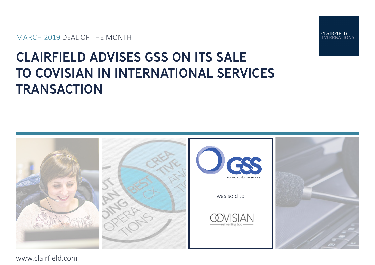MARCH 2019 DEAL OF THE MONTH



# CLAIRFIELD ADVISES GSS ON ITS SALE TO COVISIAN IN INTERNATIONAL SERVICES **TRANSACTION**



www.clairfield.com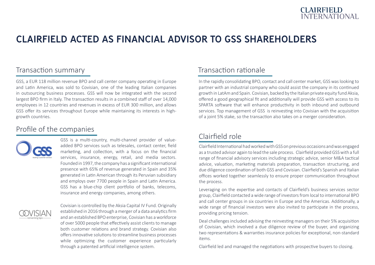

# CLAIRFIELD ACTED AS FINANCIAL ADVISOR TO GSS SHAREHOLDERS

### Transaction summary

GSS, a EUR 118 million revenue BPO and call center company operating in Europe and Latin America, was sold to Covisian, one of the leading Italian companies in outsourcing business processes. GSS will now be integrated with the second largest BPO firm in Italy. The transaction results in a combined staff of over 14,000 employees in 12 countries and revenues in excess of EUR 300 million, and allows GSS offer its services throughout Europe while maintaining its interests in highgrowth countries.

### Profile of the companies



GSS is a multi-country, multi-channel provider of valueadded BPO services such as telesales, contact center, field marketing, and collection, with a focus on the financial services, insurance, energy, retail, and media sectors. Founded in 1997, the company has a significant international presence with 65% of revenue generated in Spain and 35% generated in Latin American through its Peruvian subsidiary and employs over 7700 people in Spain and Latin America. GSS has a blue-chip client portfolio of banks, telecoms, insurance and energy companies, among others.



Covisian is controlled by the Aksia Capital IV Fund. Originally established in 2016 through a merger of a data analytics firm and an established BPO enterprise, Covisian has a workforce of over 5000 people that effectively assist clients to manage both customer relations and brand strategy. Covisian also offers innovative solutions to streamline business processes while optimizing the customer experience particularly through a patented artificial intelligence system.

### Transaction rationale

In the rapidly consolidating BPO, contact and call center market, GSS was looking to partner with an industrial company who could assist the company in its continued growth in LatAm and Spain. Covisian, backed by the Italian private equity fund Aksia, offered a good geographical fit and additionally will provide GSS with access to its SPARTA software that will enhance productivity in both inbound and outbound services. Top management of GSS is reinvesting into Covisian with the acquisition of a joint 5% stake, so the transaction also takes on a merger consideration.

### Clairfield role

Clairfield International had worked with GSS on previous occasions and was engaged as a trusted advisor again to lead the sale process. Clairfield provided GSS with a full range of financial advisory services including strategic advice, senior M&A tactical advice, valuation, marketing materials preparation, transaction structuring, and due diligence coordination of both GSS and Covisian. Clairfield's Spanish and Italian offices worked together seamlessly to ensure proper communication throughout the process.

Leveraging on the expertise and contacts of Clairfield's business services sector group, Clairfield contacted a wide range of investors from local to international BPO and call center groups in six countries in Europe and the Americas. Additionally, a wide range of financial investors were also invited to participate in the process, providing pricing tension.

Deal challenges included advising the reinvesting managers on their 5% acquisition of Covisian, which involved a due diligence review of the buyer, and organizing two representations & warranties insurance policies for exceptional, non-standard items.

Clairfield led and managed the negotiations with prospective buyers to closing.